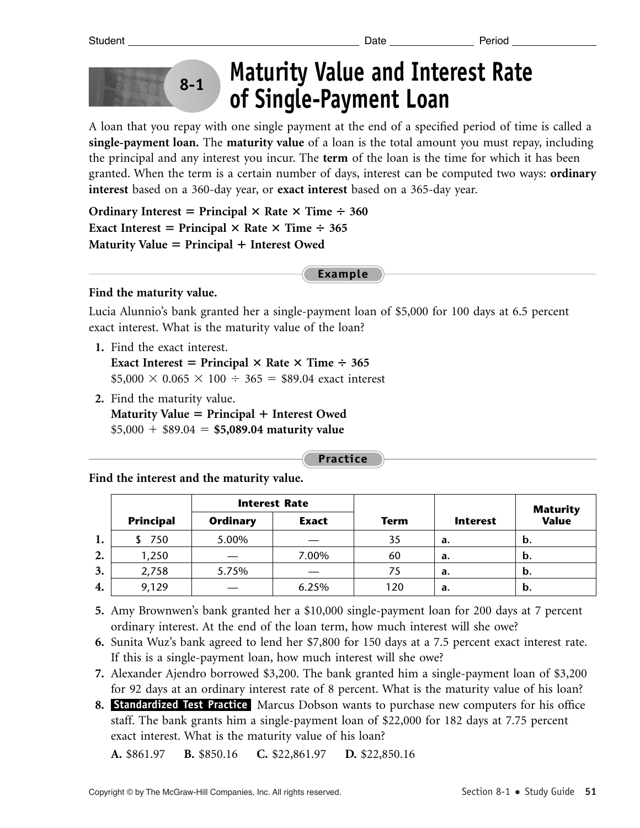

# **Maturity Value and Interest Rate of Single-Payment Loan**

A loan that you repay with one single payment at the end of a specified period of time is called a **single-payment loan.** The **maturity value** of a loan is the total amount you must repay, including the principal and any interest you incur. The **term** of the loan is the time for which it has been granted. When the term is a certain number of days, interest can be computed two ways: **ordinary interest** based on a 360-day year, or **exact interest** based on a 365-day year.

**Ordinary Interest = Principal**  $\times$  **Rate**  $\times$  **Time**  $\div$  **360 Exact Interest = Principal**  $\times$  **Rate**  $\times$  **Time**  $\div$  **365 Maturity Value = Principal + Interest Owed** 

**Example**

### **Find the maturity value.**

Lucia Alunnio's bank granted her a single-payment loan of \$5,000 for 100 days at 6.5 percent exact interest. What is the maturity value of the loan?

**1.** Find the exact interest.

**Exact Interest = Principal**  $\times$  **Rate**  $\times$  **Time**  $\div$  **365**  $$5,000 \times 0.065 \times 100 \div 365 = $89.04$  exact interest

**2.** Find the maturity value. **Maturity Value = Principal + Interest Owed**  $$5,000 + $89.04 = $5,089.04$  maturity value

**Practice**

**Find the interest and the maturity value.**

|    |                  | <b>Interest Rate</b> |              |             |                 |                           |
|----|------------------|----------------------|--------------|-------------|-----------------|---------------------------|
|    | <b>Principal</b> | <b>Ordinary</b>      | <b>Exact</b> | <b>Term</b> | <b>Interest</b> | <b>Maturity<br/>Value</b> |
| 1. | 750              | 5.00%                |              | 35          | a.              | b.                        |
| 2. | 1,250            |                      | 7.00%        | 60          | a.              | b.                        |
| 3. | 2,758            | 5.75%                |              | 75          | a.              | b.                        |
| 4. | 9,129            |                      | 6.25%        | 120         | a.              | b.                        |

- **5.** Amy Brownwen's bank granted her a \$10,000 single-payment loan for 200 days at 7 percent ordinary interest. At the end of the loan term, how much interest will she owe?
- **6.** Sunita Wuz's bank agreed to lend her \$7,800 for 150 days at a 7.5 percent exact interest rate. If this is a single-payment loan, how much interest will she owe?
- **7.** Alexander Ajendro borrowed \$3,200. The bank granted him a single-payment loan of \$3,200 for 92 days at an ordinary interest rate of 8 percent. What is the maturity value of his loan?
- 8. Standardized Test Practice Marcus Dobson wants to purchase new computers for his office staff. The bank grants him a single-payment loan of \$22,000 for 182 days at 7.75 percent exact interest. What is the maturity value of his loan?

**A.** \$861.97 **B.** \$850.16 **C.** \$22,861.97 **D.** \$22,850.16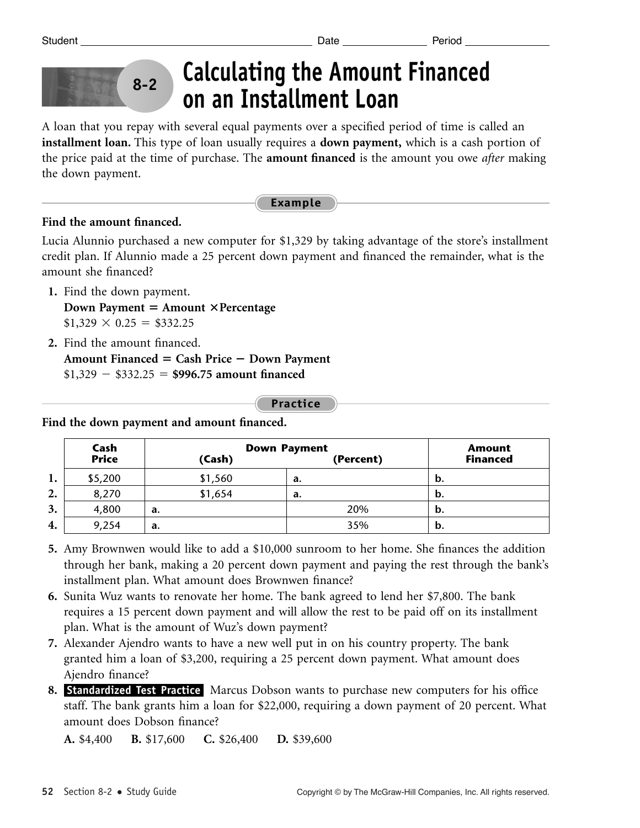

## **Calculating the Amount Financed on an Installment Loan**

A loan that you repay with several equal payments over a specified period of time is called an **installment loan.** This type of loan usually requires a **down payment,** which is a cash portion of the price paid at the time of purchase. The **amount financed** is the amount you owe *after* making the down payment.

#### **Example**

### **Find the amount financed.**

Lucia Alunnio purchased a new computer for \$1,329 by taking advantage of the store's installment credit plan. If Alunnio made a 25 percent down payment and financed the remainder, what is the amount she financed?

- **1.** Find the down payment. **Down Payment = Amount × Percentage**  $$1,329 \times 0.25 = $332.25$
- **2.** Find the amount financed.
- **Amount Financed Cash Price Down Payment**  $$1,329 - $332.25 = $996.75$  amount financed

#### **Practice**

**Cash Down Payment Amount** (Cash) (Percent)  $$5,200$  |  $$1,560$  | a. | b. 8,270 **\$1,654 a. b.** 4,800 **a.** 20% **b.** 9,254 **a.** 35% **b. 1. 2. 3. 4.**

**Find the down payment and amount financed.**

- **5.** Amy Brownwen would like to add a \$10,000 sunroom to her home. She finances the addition through her bank, making a 20 percent down payment and paying the rest through the bank's installment plan. What amount does Brownwen finance?
- **6.** Sunita Wuz wants to renovate her home. The bank agreed to lend her \$7,800. The bank requires a 15 percent down payment and will allow the rest to be paid off on its installment plan. What is the amount of Wuz's down payment?
- **7.** Alexander Ajendro wants to have a new well put in on his country property. The bank granted him a loan of \$3,200, requiring a 25 percent down payment. What amount does Ajendro finance?
- 8. Standardized Test Practice Marcus Dobson wants to purchase new computers for his office staff. The bank grants him a loan for \$22,000, requiring a down payment of 20 percent. What amount does Dobson finance?

**A.** \$4,400 **B.** \$17,600 **C.** \$26,400 **D.** \$39,600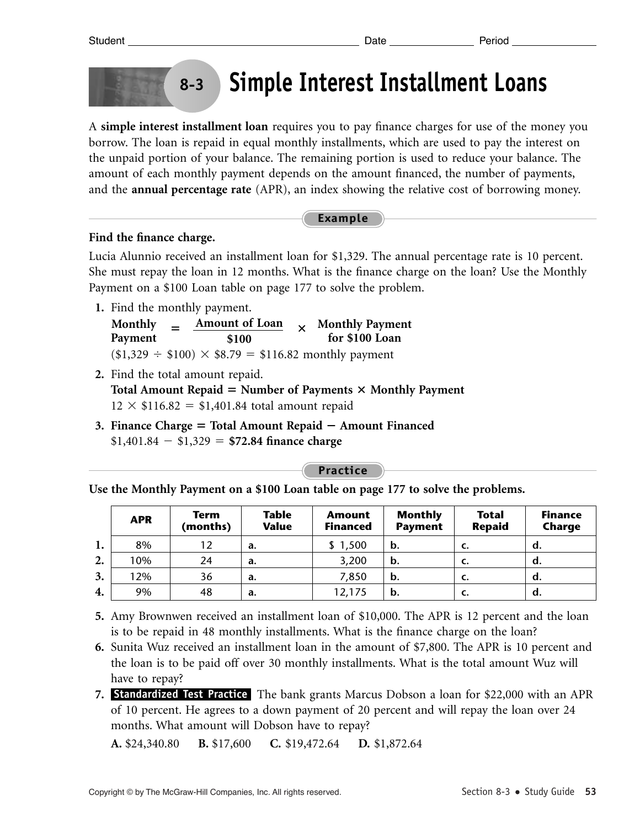## **Simple Interest Installment Loans**

A **simple interest installment loan** requires you to pay finance charges for use of the money you borrow. The loan is repaid in equal monthly installments, which are used to pay the interest on the unpaid portion of your balance. The remaining portion is used to reduce your balance. The amount of each monthly payment depends on the amount financed, the number of payments, and the **annual percentage rate** (APR), an index showing the relative cost of borrowing money.

### **Example**

### **Find the finance charge.**

Lucia Alunnio received an installment loan for \$1,329. The annual percentage rate is 10 percent. She must repay the loan in 12 months. What is the finance charge on the loan? Use the Monthly Payment on a \$100 Loan table on page 177 to solve the problem.

**1.** Find the monthly payment.

**8-3**

| <b>Monthly</b> | $=$ | <b>Amount of Loan</b>                                       |  | $\times$ Monthly Payment |
|----------------|-----|-------------------------------------------------------------|--|--------------------------|
| Payment        |     | \$100                                                       |  | for \$100 Loan           |
|                |     | $($1,329 \div $100) \times $8.79 = $116.82$ monthly payment |  |                          |

- **2.** Find the total amount repaid. Total Amount Repaid = Number of Payments  $\times$  Monthly Payment  $12 \times $116.82 = $1,401.84$  total amount repaid
- **3. Finance Charge = Total Amount Repaid Amount Financed**  $$1,401.84 - $1,329 = $72.84$  finance charge

**Practice**

**Use the Monthly Payment on a \$100 Loan table on page 177 to solve the problems.**

|    | <b>APR</b> | <b>Term</b><br>(months) | <b>Table</b><br><b>Value</b> | <b>Amount</b><br><b>Financed</b> | <b>Monthly</b><br><b>Payment</b> | <b>Total</b><br><b>Repaid</b> | <b>Finance</b><br>Charge |
|----|------------|-------------------------|------------------------------|----------------------------------|----------------------------------|-------------------------------|--------------------------|
| 1. | 8%         | 12                      | a.                           | \$1,500                          | b.                               | C.                            | d.                       |
| 2. | 10%        | 24                      | a.                           | 3,200                            | b.                               | C.                            | d.                       |
| 3. | 2%         | 36                      | a.                           | 7,850                            | b.                               | C.                            | d.                       |
| 4. | 9%         | 48                      | a.                           | 12,175                           | b.                               | c.                            | a.                       |

- **5.** Amy Brownwen received an installment loan of \$10,000. The APR is 12 percent and the loan is to be repaid in 48 monthly installments. What is the finance charge on the loan?
- **6.** Sunita Wuz received an installment loan in the amount of \$7,800. The APR is 10 percent and the loan is to be paid off over 30 monthly installments. What is the total amount Wuz will have to repay?
- 7. **Standardized Test Practice** The bank grants Marcus Dobson a loan for \$22,000 with an APR of 10 percent. He agrees to a down payment of 20 percent and will repay the loan over 24 months. What amount will Dobson have to repay?

**A.** \$24,340.80 **B.** \$17,600 **C.** \$19,472.64 **D.** \$1,872.64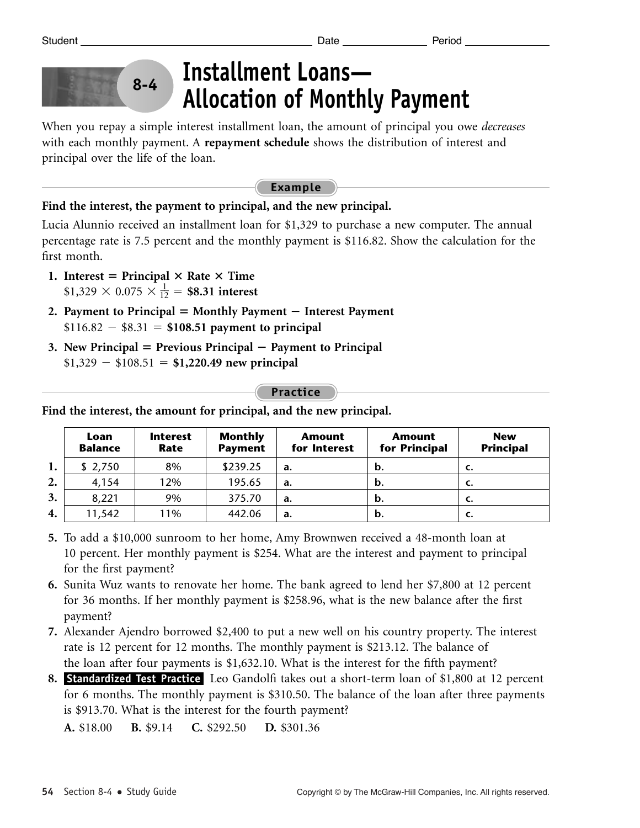

## **Installment Loans— Allocation of Monthly Payment**

When you repay a simple interest installment loan, the amount of principal you owe *decreases* with each monthly payment. A **repayment schedule** shows the distribution of interest and principal over the life of the loan.

#### **Example**

### **Find the interest, the payment to principal, and the new principal.**

Lucia Alunnio received an installment loan for \$1,329 to purchase a new computer. The annual percentage rate is 7.5 percent and the monthly payment is \$116.82. Show the calculation for the first month.

- 1. Interest = Principal  $\times$  Rate  $\times$  Time  $$1,329 \times 0.075 \times \frac{1}{12} = $8.31$  interest
- **2. Payment to Principal**  $=$  **Monthly Payment**  $-$  **Interest Payment**  $$116.82 - $8.31 = $108.51$  payment to principal
- **3. New Principal Previous Principal Payment to Principal**  $$1,329 - $108.51 = $1,220.49$  new principal

### **Practice**

|    | Loan<br><b>Balance</b> | <b>Interest</b><br>Rate | <b>Monthly</b><br><b>Payment</b> | <b>Amount</b><br>for Interest | <b>Amount</b><br>for Principal | <b>New</b><br><b>Principal</b> |
|----|------------------------|-------------------------|----------------------------------|-------------------------------|--------------------------------|--------------------------------|
| 1. | \$2,750                | 8%                      | \$239.25                         | a.                            | b.                             | С.                             |
| 2. | 4,154                  | 12%                     | 195.65                           | a.                            | b.                             | <b>C.</b>                      |
| 3. | 8,221                  | 9%                      | 375.70                           | a.                            | b.                             | c.                             |
| 4. | 11,542                 | 11%                     | 442.06                           | a.                            | b.                             | <b>C.</b>                      |

**Find the interest, the amount for principal, and the new principal.**

- **5.** To add a \$10,000 sunroom to her home, Amy Brownwen received a 48-month loan at 10 percent. Her monthly payment is \$254. What are the interest and payment to principal for the first payment?
- **6.** Sunita Wuz wants to renovate her home. The bank agreed to lend her \$7,800 at 12 percent for 36 months. If her monthly payment is \$258.96, what is the new balance after the first payment?
- **7.** Alexander Ajendro borrowed \$2,400 to put a new well on his country property. The interest rate is 12 percent for 12 months. The monthly payment is \$213.12. The balance of the loan after four payments is \$1,632.10. What is the interest for the fifth payment?
- 8. Standardized Test Practice Leo Gandolfi takes out a short-term loan of \$1,800 at 12 percent for 6 months. The monthly payment is \$310.50. The balance of the loan after three payments is \$913.70. What is the interest for the fourth payment?

**A.** \$18.00 **B.** \$9.14 **C.** \$292.50 **D.** \$301.36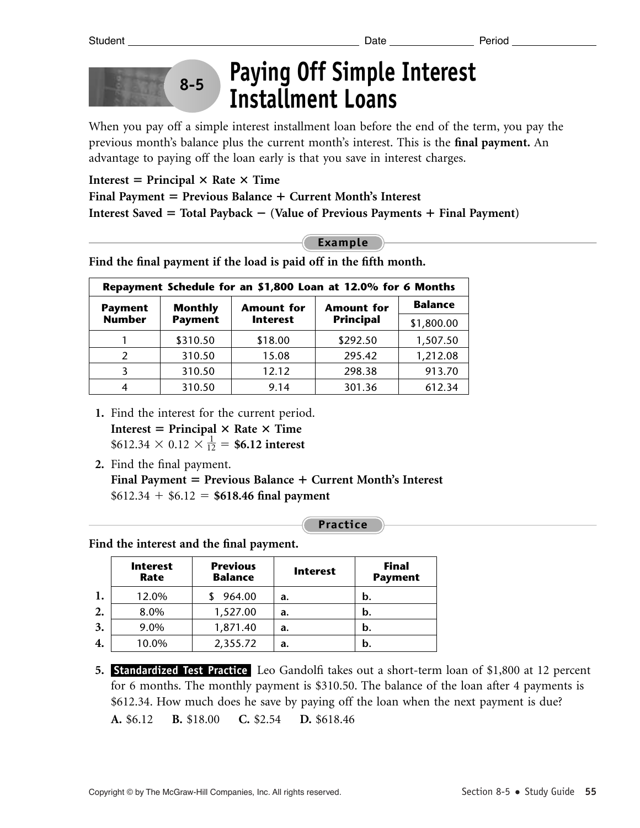

## **Paying Off Simple Interest Installment Loans**

When you pay off a simple interest installment loan before the end of the term, you pay the previous month's balance plus the current month's interest. This is the **final payment.** An advantage to paying off the loan early is that you save in interest charges.

 $Interest = Principal \times Rate \times Time$ **Final Payment Previous Balance Current Month's Interest Interest Saved Total Payback (Value of Previous Payments Final Payment)**

### **Example**

**Find the final payment if the load is paid off in the fifth month.**

| Repayment Schedule for an \$1,800 Loan at 12.0% for 6 Months |                |                   |                   |                |  |
|--------------------------------------------------------------|----------------|-------------------|-------------------|----------------|--|
| <b>Payment</b>                                               | <b>Monthly</b> | <b>Amount for</b> | <b>Amount for</b> | <b>Balance</b> |  |
| <b>Number</b>                                                | <b>Payment</b> | <b>Interest</b>   | <b>Principal</b>  | \$1,800.00     |  |
|                                                              | \$310.50       | \$18.00           | \$292.50          | 1,507.50       |  |
|                                                              | 310.50         | 15.08             | 295.42            | 1,212.08       |  |
|                                                              | 310.50         | 12.12             | 298.38            | 913.70         |  |
| 4                                                            | 310.50         | 9.14              | 301.36            | 612.34         |  |

- **1.** Find the interest for the current period.  $Interest = Principal \times Rate \times Time$  $$612.34 \times 0.12 \times \frac{1}{12} = $6.12 \text{ interest}$
- **2.** Find the final payment. **Final Payment Previous Balance Current Month's Interest**  $$612.34 + $6.12 = $618.46$  final payment

**Practice**

**Find the interest and the final payment.**

|    | <b>Interest</b><br>Rate | <b>Previous</b><br><b>Balance</b> | <b>Interest</b> | <b>Final</b><br><b>Payment</b> |
|----|-------------------------|-----------------------------------|-----------------|--------------------------------|
| 1. | 12.0%                   | 964.00                            | a.              | b.                             |
| 2. | 8.0%                    | 1,527.00                          | a.              | b.                             |
| 3. | 9.0%                    | 1,871.40                          | a.              | b.                             |
| 4. | 10.0%                   | 2,355.72                          | a.              | b.                             |

**5. Standardized Test Practice** Leo Gandolfi takes out a short-term loan of \$1,800 at 12 percent for 6 months. The monthly payment is \$310.50. The balance of the loan after 4 payments is \$612.34. How much does he save by paying off the loan when the next payment is due? **A.** \$6.12 **B.** \$18.00 **C.** \$2.54 **D.** \$618.46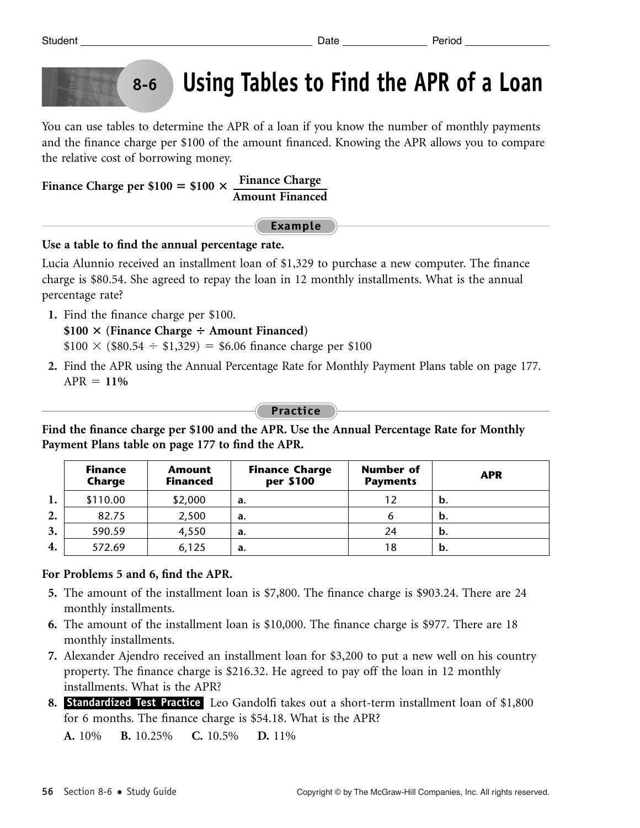## **Using Tables to Find the APR of a Loan**

You can use tables to determine the APR of a loan if you know the number of monthly payments and the finance charge per \$100 of the amount financed. Knowing the APR allows you to compare the relative cost of borrowing money.

Finance Charge per \$100 = \$100 
$$
\times
$$
  $\frac{\text{Finance Charge}}{\text{Amount Finance}}$ 

**Example**

**Use a table to find the annual percentage rate.**

**8-6**

Lucia Alunnio received an installment loan of \$1,329 to purchase a new computer. The finance charge is \$80.54. She agreed to repay the loan in 12 monthly installments. What is the annual percentage rate?

**1.** Find the finance charge per \$100.

**\$100** - **(Finance Charge Amount Financed)**  $$100 \times ($80.54 \div $1,329) = $6.06$  finance charge per \$100

**2.** Find the APR using the Annual Percentage Rate for Monthly Payment Plans table on page 177.  $APR = 11%$ 

**Practice**

**Find the finance charge per \$100 and the APR. Use the Annual Percentage Rate for Monthly Payment Plans table on page 177 to find the APR.**

|    | <b>Finance</b><br>Charge | Amount<br><b>Financed</b> | <b>Finance Charge</b><br>per \$100 | <b>Number of</b><br><b>Payments</b> | <b>APR</b> |
|----|--------------------------|---------------------------|------------------------------------|-------------------------------------|------------|
| 1. | \$110.00                 | \$2,000                   | a.                                 | 12                                  | b.         |
| 2. | 82.75                    | 2,500                     | a.                                 |                                     | b.         |
| 3. | 590.59                   | 4,550                     | a.                                 | 24                                  | b.         |
| 4. | 572.69                   | 6,125                     | a.                                 | 18                                  | b.         |

### **For Problems 5 and 6, find the APR.**

- **5.** The amount of the installment loan is \$7,800. The finance charge is \$903.24. There are 24 monthly installments.
- **6.** The amount of the installment loan is \$10,000. The finance charge is \$977. There are 18 monthly installments.
- **7.** Alexander Ajendro received an installment loan for \$3,200 to put a new well on his country property. The finance charge is \$216.32. He agreed to pay off the loan in 12 monthly installments. What is the APR?
- 8. Standardized Test Practice Leo Gandolfi takes out a short-term installment loan of \$1,800 for 6 months. The finance charge is \$54.18. What is the APR?

**A.** 10% **B.** 10.25% **C.** 10.5% **D.** 11%